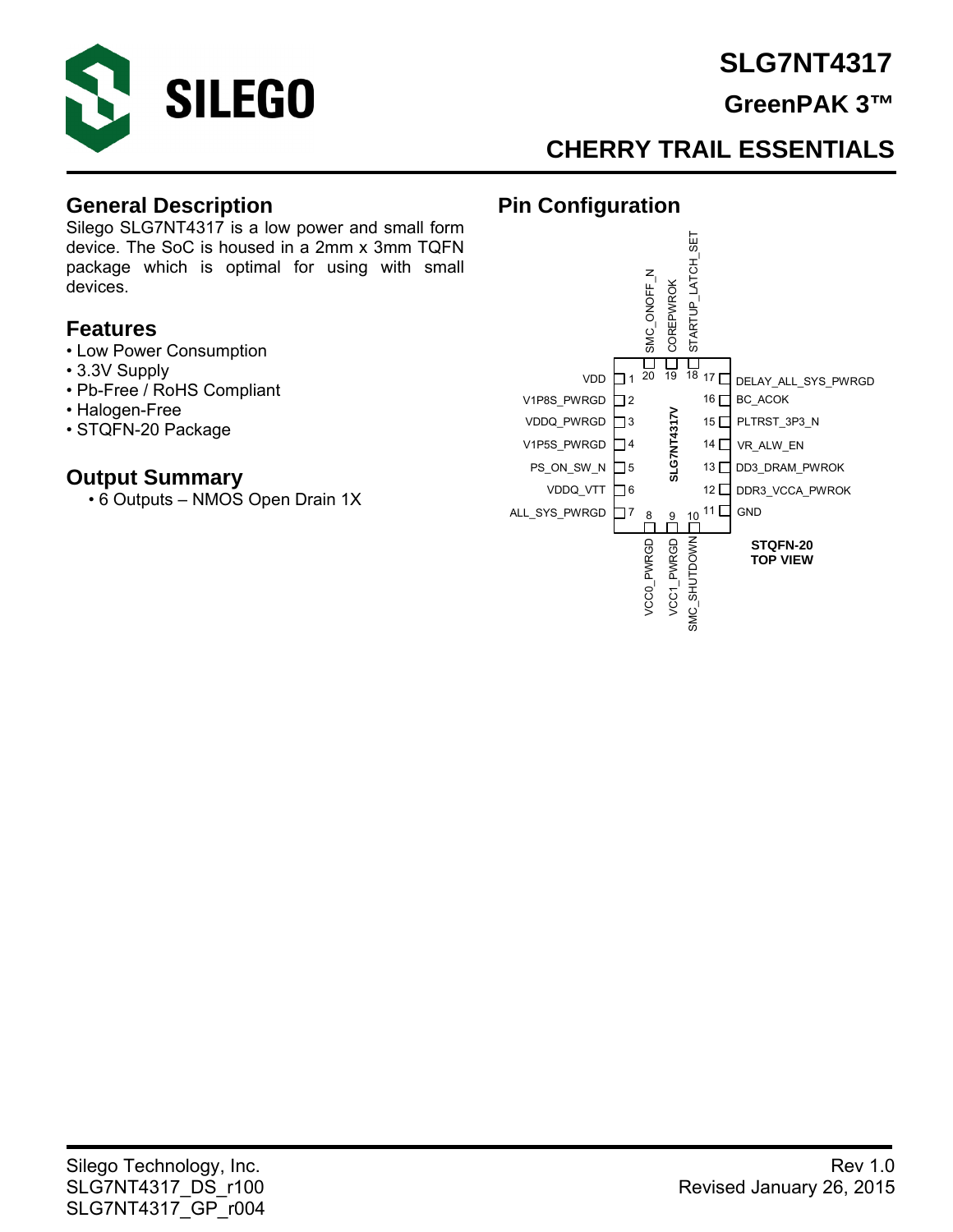

## **SLG7NT4317**

## **GreenPAK 3™**

## **CHERRY TRAIL ESSENTIALS**

**Pin Configuration** 

#### **General Description**

Silego SLG7NT4317 is a low power and small form device. The SoC is housed in a 2mm x 3mm TQFN package which is optimal for using with small devices.

#### **Features**

- Low Power Consumption
- 3.3V Supply
- Pb-Free / RoHS Compliant
- Halogen-Free
- STQFN-20 Package

#### **Output Summary**

• 6 Outputs – NMOS Open Drain 1X

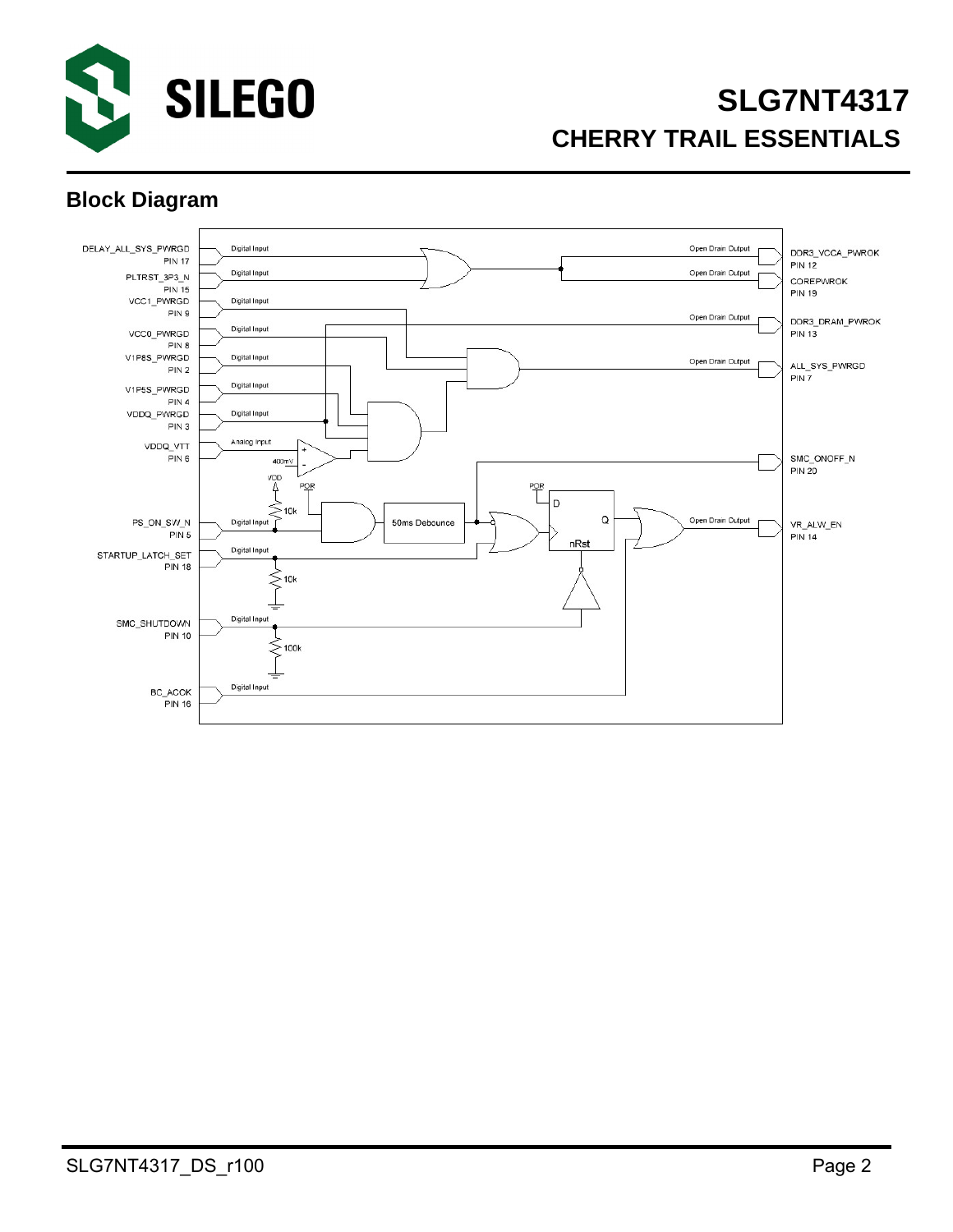

# **SLG7NT4317 CHERRY TRAIL ESSENTIALS**

### **Block Diagram**

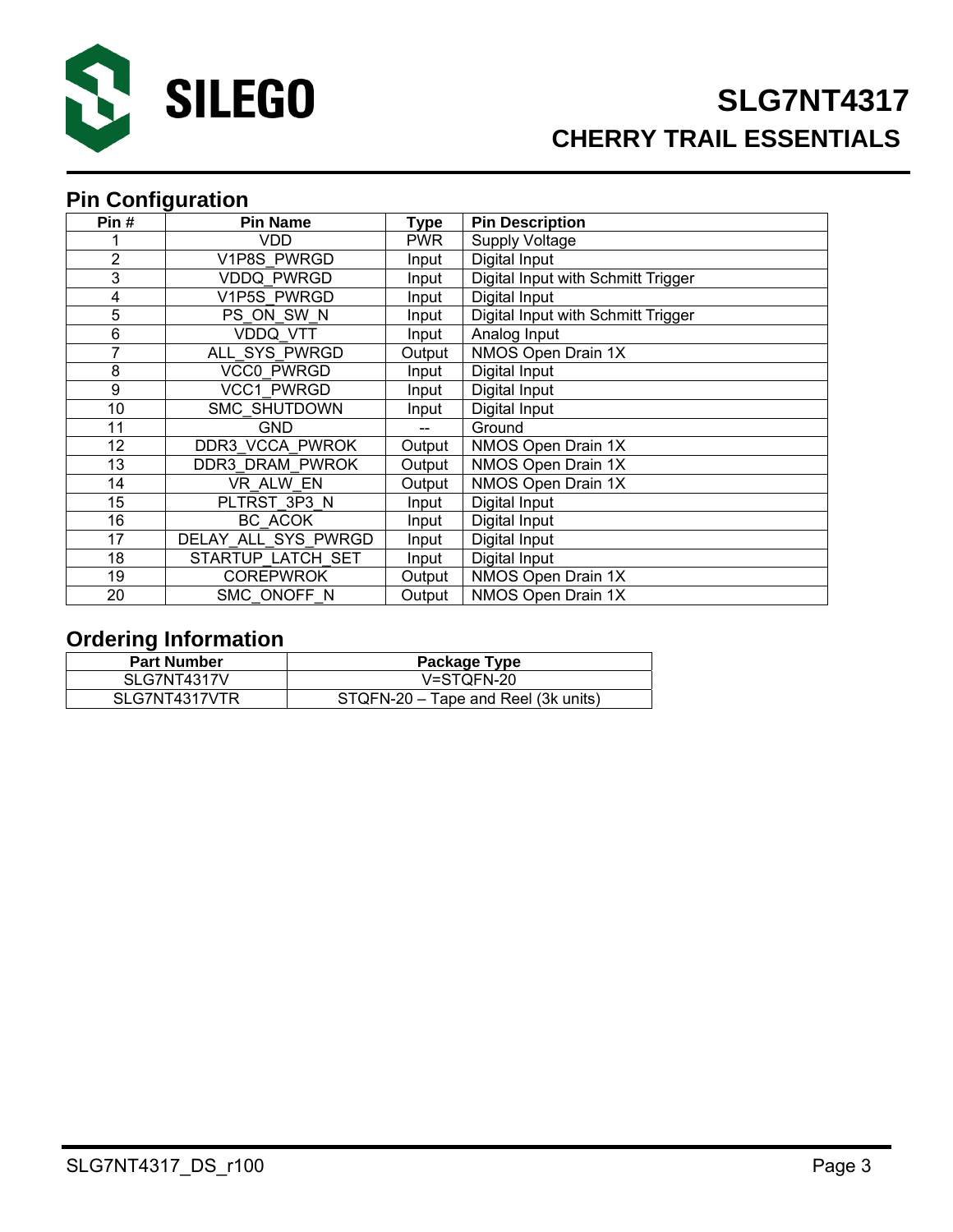

## **Pin Configuration**

| Pin#           | <b>Pin Name</b>     | <b>Type</b> | <b>Pin Description</b>             |
|----------------|---------------------|-------------|------------------------------------|
|                | VDD                 | <b>PWR</b>  | <b>Supply Voltage</b>              |
| $\overline{2}$ | V1P8S PWRGD         | Input       | Digital Input                      |
| 3              | <b>VDDQ PWRGD</b>   | Input       | Digital Input with Schmitt Trigger |
| 4              | V1P5S PWRGD         | Input       | Digital Input                      |
| 5              | PS ON SW N          | Input       | Digital Input with Schmitt Trigger |
| 6              | VDDQ VTT            | Input       | Analog Input                       |
| 7              | ALL SYS PWRGD       | Output      | NMOS Open Drain 1X                 |
| 8              | <b>VCC0 PWRGD</b>   | Input       | Digital Input                      |
| 9              | <b>VCC1 PWRGD</b>   | Input       | Digital Input                      |
| 10             | <b>SMC SHUTDOWN</b> | Input       | Digital Input                      |
| 11             | <b>GND</b>          |             | Ground                             |
| 12             | DDR3 VCCA PWROK     | Output      | NMOS Open Drain 1X                 |
| 13             | DDR3 DRAM PWROK     | Output      | NMOS Open Drain 1X                 |
| 14             | VR ALW EN           | Output      | NMOS Open Drain 1X                 |
| 15             | PLTRST 3P3 N        | Input       | Digital Input                      |
| 16             | BC ACOK             | Input       | Digital Input                      |
| 17             | DELAY ALL SYS PWRGD | Input       | Digital Input                      |
| 18             | STARTUP LATCH SET   | Input       | Digital Input                      |
| 19             | <b>COREPWROK</b>    | Output      | NMOS Open Drain 1X                 |
| 20             | SMC ONOFF N         | Output      | NMOS Open Drain 1X                 |

### **Ordering Information**

| <b>Part Number</b> | Package Type                        |
|--------------------|-------------------------------------|
| SLG7NT4317V        | V=STQFN-20                          |
| SLG7NT4317VTR      | STQFN-20 – Tape and Reel (3k units) |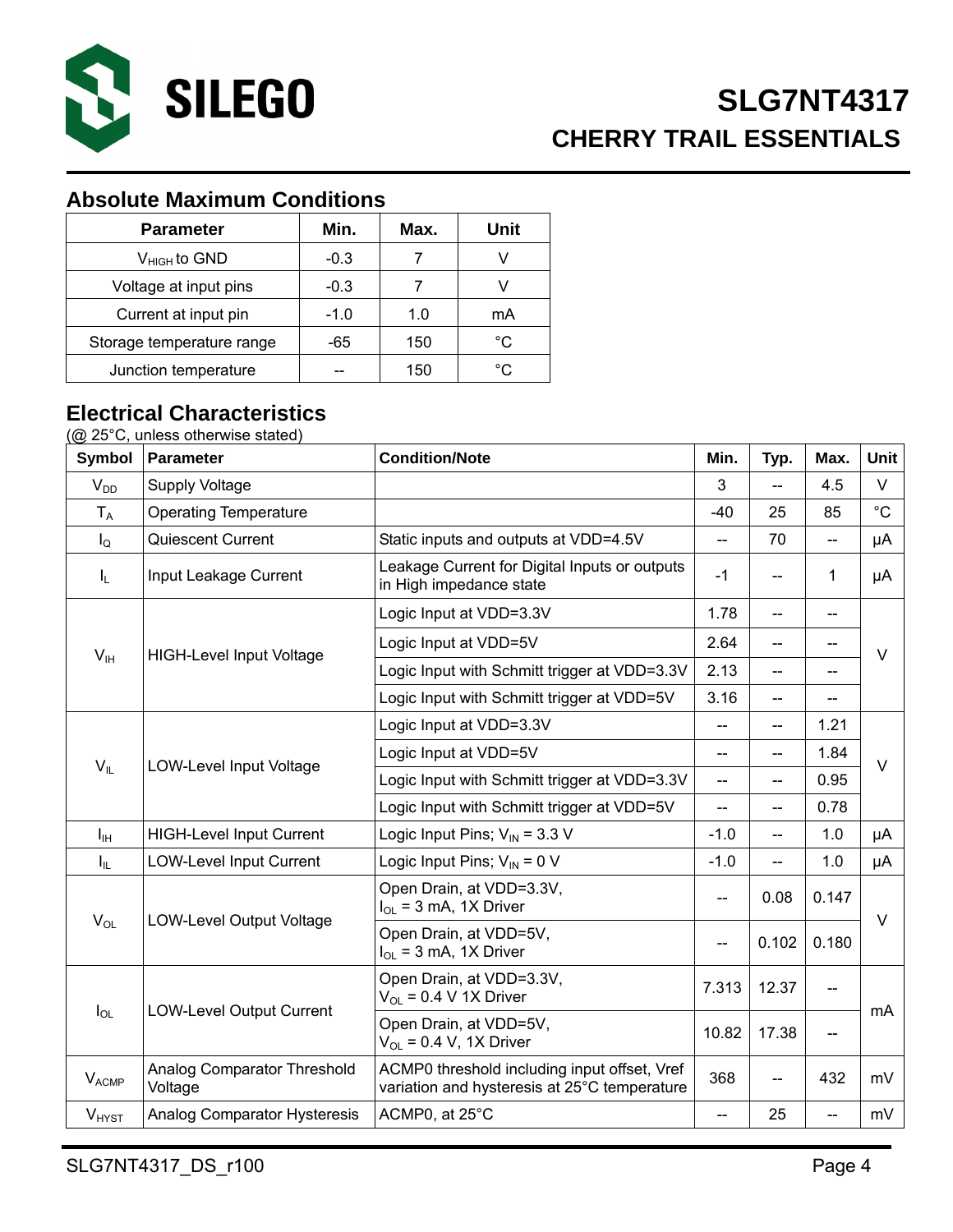

## **Absolute Maximum Conditions**

| <b>Parameter</b>          | Min.   | Max. | Unit |
|---------------------------|--------|------|------|
| $V_{HIGH}$ to GND         | $-0.3$ |      |      |
| Voltage at input pins     | $-0.3$ |      |      |
| Current at input pin      | $-1.0$ | 1.0  | mA   |
| Storage temperature range | -65    | 150  | °C   |
| Junction temperature      |        | 150  | °C   |

#### **Electrical Characteristics**

(@ 25°C, unless otherwise stated)

| <b>Symbol</b>           | <b>Parameter</b>                       | <b>Condition/Note</b>                                                                        | Min.                     | Typ.                     | Max.                     | Unit        |  |  |
|-------------------------|----------------------------------------|----------------------------------------------------------------------------------------------|--------------------------|--------------------------|--------------------------|-------------|--|--|
| $V_{DD}$                | <b>Supply Voltage</b>                  |                                                                                              | 3                        | -−                       | 4.5                      | $\vee$      |  |  |
| $T_A$                   | <b>Operating Temperature</b>           |                                                                                              | $-40$                    | 25                       | 85                       | $^{\circ}C$ |  |  |
| $I_{\mathsf{Q}}$        | Quiescent Current                      | Static inputs and outputs at VDD=4.5V                                                        | --                       | 70                       | $\overline{\phantom{a}}$ | μA          |  |  |
| $I_L$                   | Input Leakage Current                  | $-1$                                                                                         | $\overline{\phantom{a}}$ | 1                        | μA                       |             |  |  |
|                         |                                        | Logic Input at VDD=3.3V                                                                      | 1.78                     | $\overline{\phantom{a}}$ | $\overline{\phantom{a}}$ |             |  |  |
| V <sub>IH</sub>         | <b>HIGH-Level Input Voltage</b>        | Logic Input at VDD=5V                                                                        | 2.64                     | $-$                      | --                       | $\vee$      |  |  |
|                         |                                        | Logic Input with Schmitt trigger at VDD=3.3V                                                 | 2.13                     | $-$                      |                          |             |  |  |
|                         |                                        | Logic Input with Schmitt trigger at VDD=5V                                                   | 3.16                     | --                       | --                       |             |  |  |
|                         |                                        | Logic Input at VDD=3.3V                                                                      | --                       | $-$                      | 1.21                     |             |  |  |
| $V_{IL}$                | LOW-Level Input Voltage                | Logic Input at VDD=5V                                                                        | --                       | --                       | 1.84                     | $\vee$      |  |  |
|                         |                                        | Logic Input with Schmitt trigger at VDD=3.3V                                                 | --                       | $-$                      | 0.95                     |             |  |  |
|                         |                                        | Logic Input with Schmitt trigger at VDD=5V                                                   | --                       | --                       | 0.78                     |             |  |  |
| $I_{\text{IH}}$         | <b>HIGH-Level Input Current</b>        | Logic Input Pins; $V_{\text{IN}}$ = 3.3 V                                                    | $-1.0$                   | $\overline{\phantom{a}}$ | 1.0                      | μA          |  |  |
| $I_{IL}$                | <b>LOW-Level Input Current</b>         | Logic Input Pins; $V_{IN} = 0 V$                                                             | $-1.0$                   | --                       | 1.0                      | μA          |  |  |
|                         |                                        | Open Drain, at VDD=3.3V,<br>$I_{OL}$ = 3 mA, 1X Driver                                       | --                       | 0.08                     | 0.147                    | $\vee$      |  |  |
| $V_{OL}$                | <b>LOW-Level Output Voltage</b>        | Open Drain, at VDD=5V,<br>$I_{OL}$ = 3 mA, 1X Driver                                         | --                       | 0.102                    | 0.180                    |             |  |  |
|                         |                                        | Open Drain, at VDD=3.3V,<br>$V_{OL}$ = 0.4 V 1X Driver                                       | 7.313                    | 12.37                    |                          |             |  |  |
| $I_{OL}$                | <b>LOW-Level Output Current</b>        | Open Drain, at VDD=5V,<br>$V_{OL}$ = 0.4 V, 1X Driver                                        | 10.82                    | 17.38                    | --                       | mA          |  |  |
| <b>V<sub>ACMP</sub></b> | Analog Comparator Threshold<br>Voltage | ACMP0 threshold including input offset, Vref<br>variation and hysteresis at 25°C temperature | 368                      | $-$                      | 432                      | mV          |  |  |
| <b>V<sub>HYST</sub></b> | Analog Comparator Hysteresis           | ACMP0, at 25°C                                                                               | --                       | 25                       | $\overline{a}$           | mV          |  |  |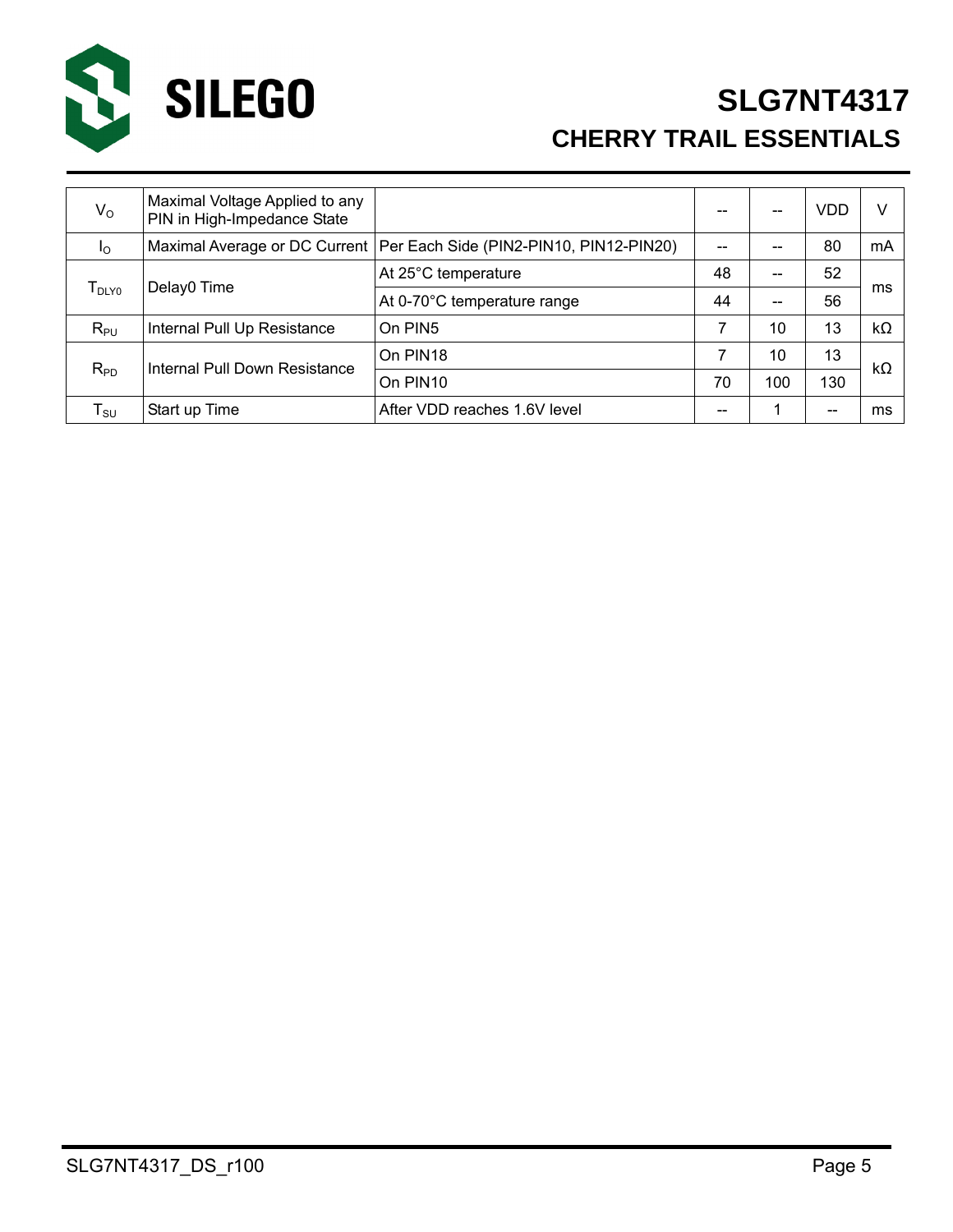

# **SLG7NT4317 CHERRY TRAIL ESSENTIALS**

| $V_{\rm O}$        | Maximal Voltage Applied to any<br>PIN in High-Impedance State |                                                                         |    | --  | VDD | v         |
|--------------------|---------------------------------------------------------------|-------------------------------------------------------------------------|----|-----|-----|-----------|
| <sub>10</sub>      |                                                               | Maximal Average or DC Current   Per Each Side (PIN2-PIN10, PIN12-PIN20) |    |     | 80  | mA        |
|                    | Delay0 Time                                                   | At 25°C temperature                                                     | 48 | --  | 52  |           |
| $T_{\text{DLY0}}$  |                                                               | At 0-70°C temperature range                                             | 44 | --  | 56  | ms        |
| $R_{PU}$           | Internal Pull Up Resistance                                   | On PIN5                                                                 | 7  | 10  | 13  | $k\Omega$ |
| $R_{PD}$           | Internal Pull Down Resistance                                 | On PIN <sub>18</sub>                                                    |    | 10  | 13  |           |
|                    |                                                               | On PIN <sub>10</sub>                                                    | 70 | 100 | 130 | kΩ        |
| ${\sf T}_{\sf SU}$ | Start up Time                                                 | After VDD reaches 1.6V level                                            | -- |     | --  | ms        |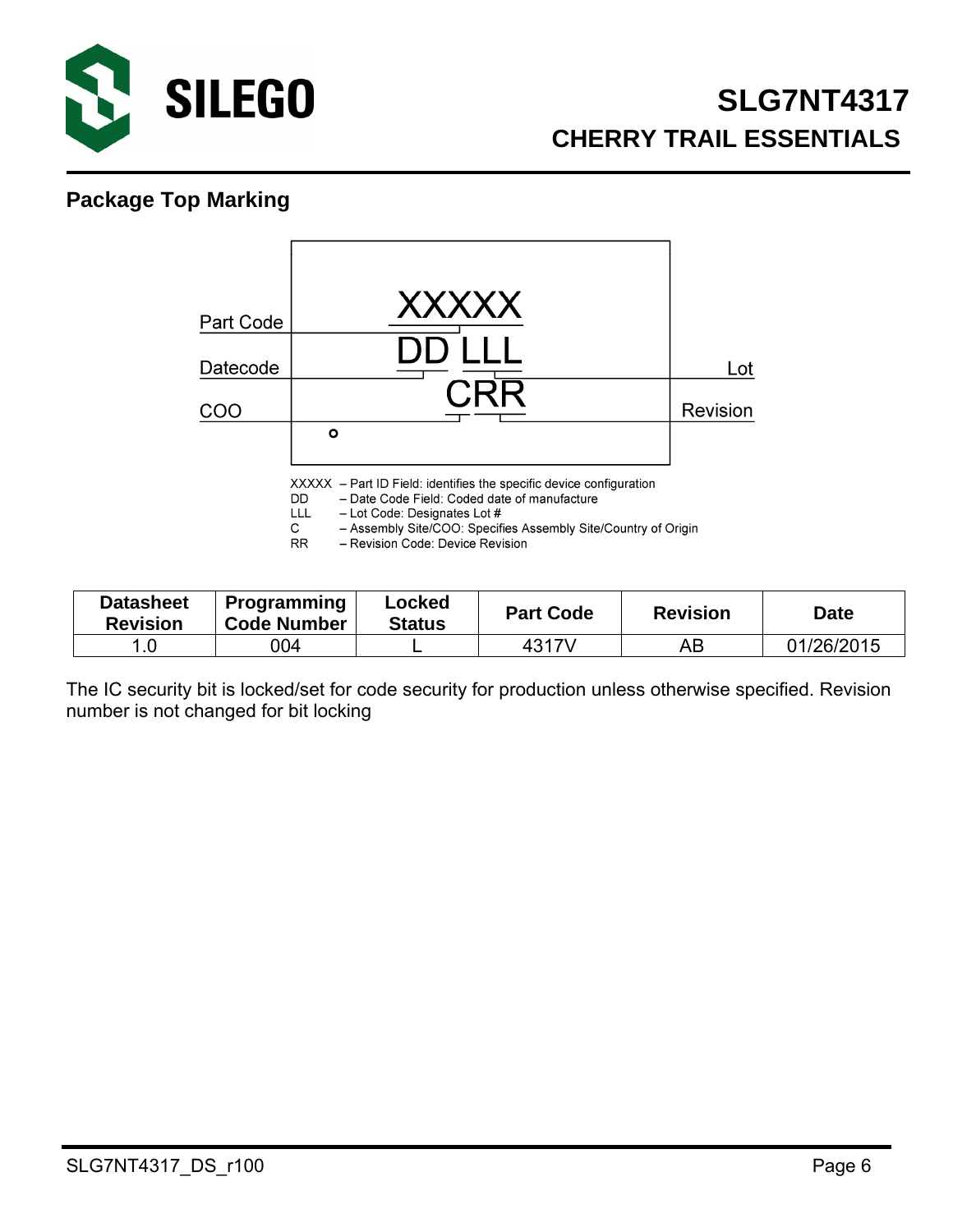

#### **Package Top Marking**



| <b>Datasheet</b><br><b>Revision</b> | <b>Programming</b><br><b>Code Number</b> | Locked<br><b>Status</b> | <b>Part Code</b> | <b>Revision</b> | <b>Date</b> |
|-------------------------------------|------------------------------------------|-------------------------|------------------|-----------------|-------------|
| 1.0                                 | 004                                      |                         | 4317V            | AB              | 01/26/2015  |

The IC security bit is locked/set for code security for production unless otherwise specified. Revision number is not changed for bit locking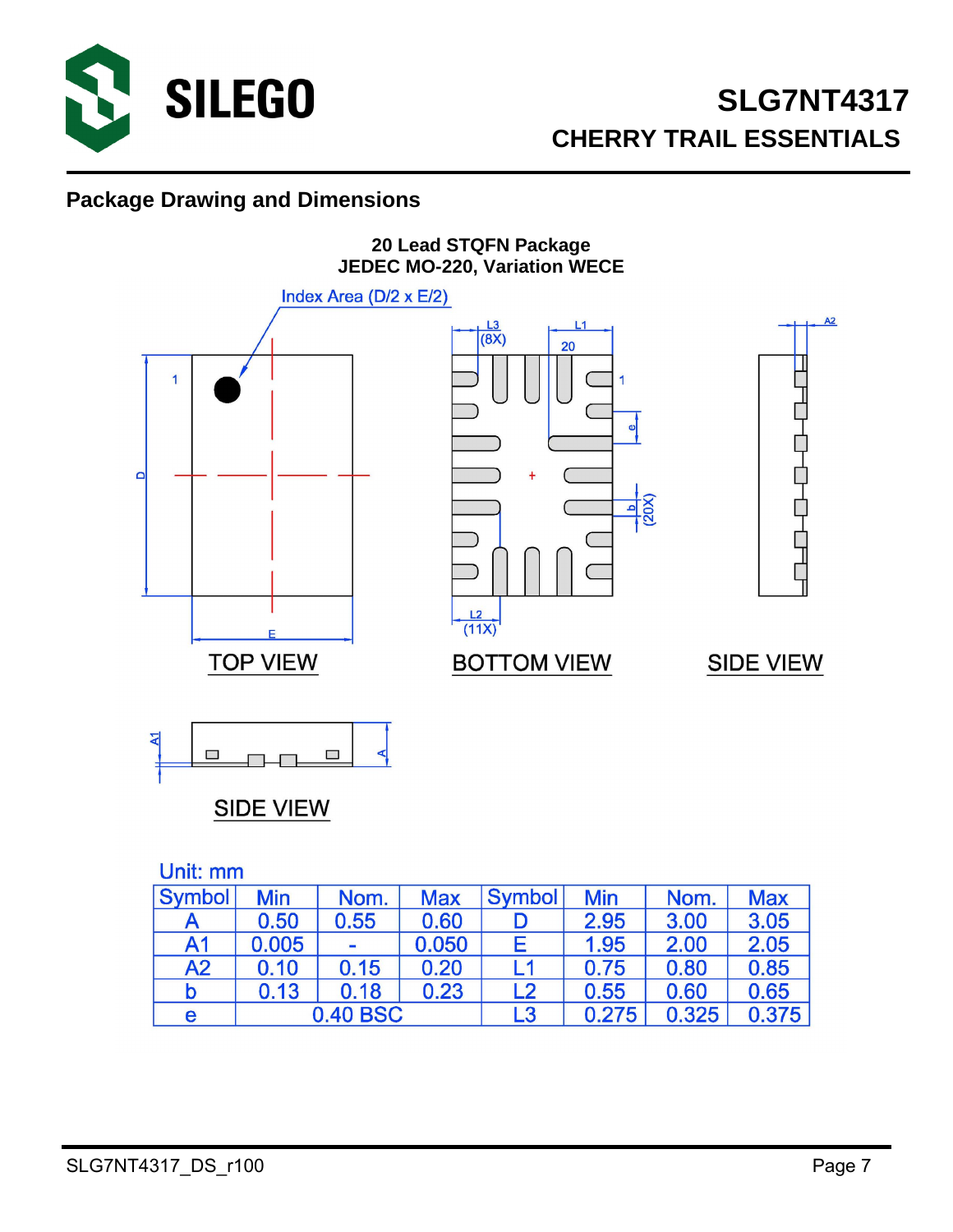

#### **Package Drawing and Dimensions**



**SIDE VIEW** 

Unit: mm

| Symbol         | <b>Min</b> | Nom.            | <b>Max</b> | <b>Symbol</b> | <b>Min</b> | Nom.  | <b>Max</b> |  |  |  |
|----------------|------------|-----------------|------------|---------------|------------|-------|------------|--|--|--|
|                | 0.50       | 0.55            | 0.60       |               | 2.95       | 3.00  | 3.05       |  |  |  |
| A <sub>1</sub> | 0.005      | $\equiv$        | 0.050      | E             | 1.95       | 2.00  | 2.05       |  |  |  |
| A2             | 0.10       | 0.15            | 0.20       | I 1           | 0.75       | 0.80  | 0.85       |  |  |  |
| b              | 0.13       | 0.18            | 0.23       | L2            | 0.55       | 0.60  | 0.65       |  |  |  |
| e              |            | <b>0.40 BSC</b> |            | L3            | 0.275      | 0.325 | 0.375      |  |  |  |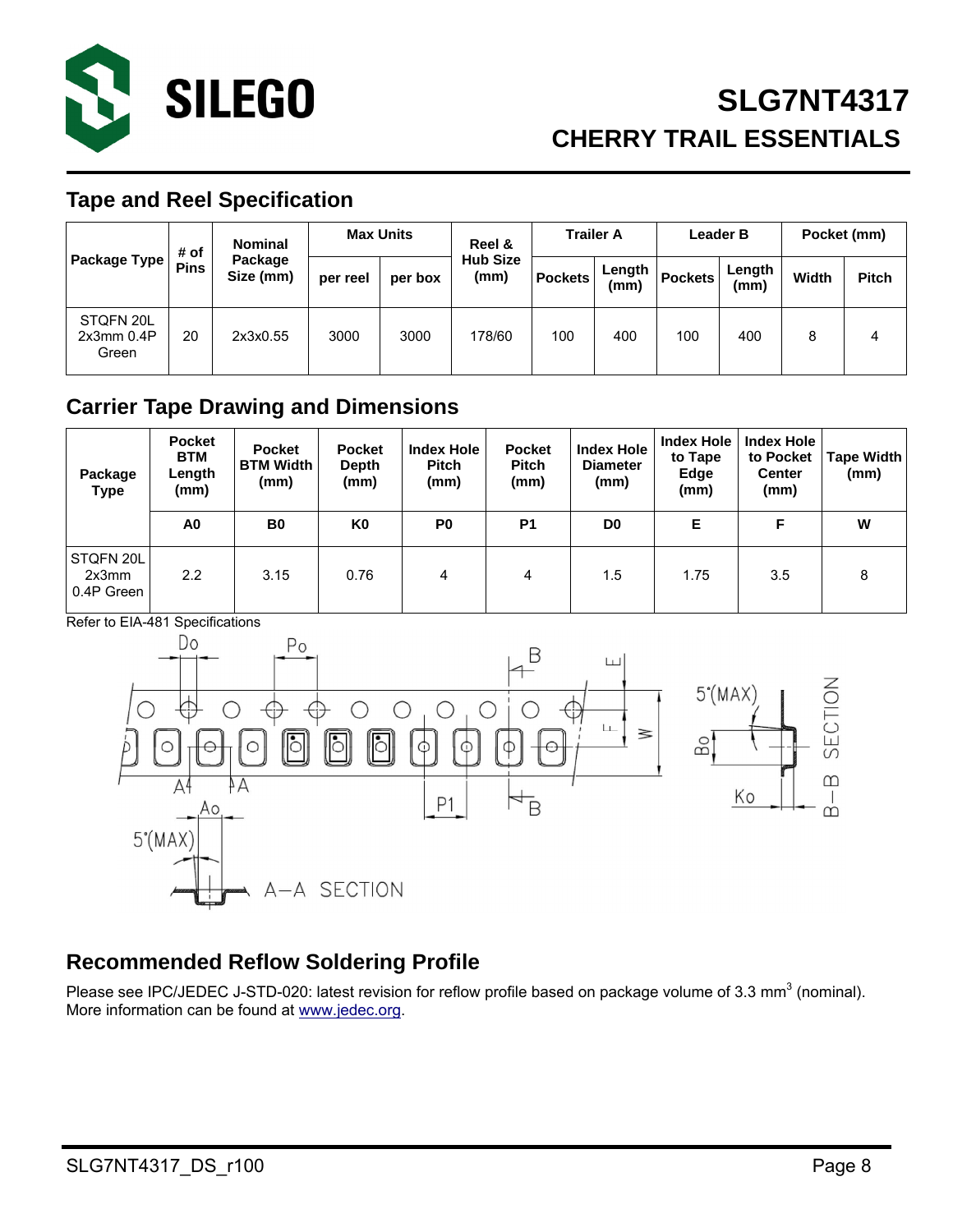

#### **Tape and Reel Specification**

|                                  | <b>Nominal</b><br># of |                      | <b>Max Units</b> |         | Reel &                  | <b>Trailer A</b> |                | <b>Leader B</b> |                | Pocket (mm) |              |
|----------------------------------|------------------------|----------------------|------------------|---------|-------------------------|------------------|----------------|-----------------|----------------|-------------|--------------|
| Package Type I                   | <b>Pins</b>            | Package<br>Size (mm) | per reel         | per box | <b>Hub Size</b><br>(mm) | <b>Pockets</b>   | Length<br>(mm) | <b>Pockets</b>  | Length<br>(mm) | Width       | <b>Pitch</b> |
| STQFN 20L<br>2x3mm 0.4P<br>Green | 20                     | 2x3x0.55             | 3000             | 3000    | 178/60                  | 100              | 400            | 100             | 400            | 8           | 4            |

#### **Carrier Tape Drawing and Dimensions**

| Package<br>Type                  | <b>Pocket</b><br><b>BTM</b><br>Length<br>(mm) | <b>Pocket</b><br><b>BTM Width</b><br>(mm) | <b>Pocket</b><br>Depth<br>(mm) | <b>Index Hole</b><br><b>Pitch</b><br>(mm) | <b>Pocket</b><br><b>Pitch</b><br>(mm) | <b>Index Hole</b><br><b>Diameter</b><br>(mm) | <b>Index Hole</b><br>to Tape<br>Edge<br>(mm) | <b>Index Hole</b><br>to Pocket<br><b>Center</b><br>(mm) | <b>Tape Width</b><br>(mm) |
|----------------------------------|-----------------------------------------------|-------------------------------------------|--------------------------------|-------------------------------------------|---------------------------------------|----------------------------------------------|----------------------------------------------|---------------------------------------------------------|---------------------------|
|                                  | A0                                            | B <sub>0</sub>                            | K0                             | P <sub>0</sub>                            | P <sub>1</sub>                        | D <sub>0</sub>                               | Е                                            | F                                                       | W                         |
| STQFN 20L<br>2x3mm<br>0.4P Green | 2.2                                           | 3.15                                      | 0.76                           | 4                                         | 4                                     | 1.5                                          | 1.75                                         | 3.5                                                     | 8                         |

Refer to EIA-481 Specifications



### **Recommended Reflow Soldering Profile**

Please see IPC/JEDEC J-STD-020: latest revision for reflow profile based on package volume of 3.3 mm<sup>3</sup> (nominal). More information can be found at www.jedec.org.